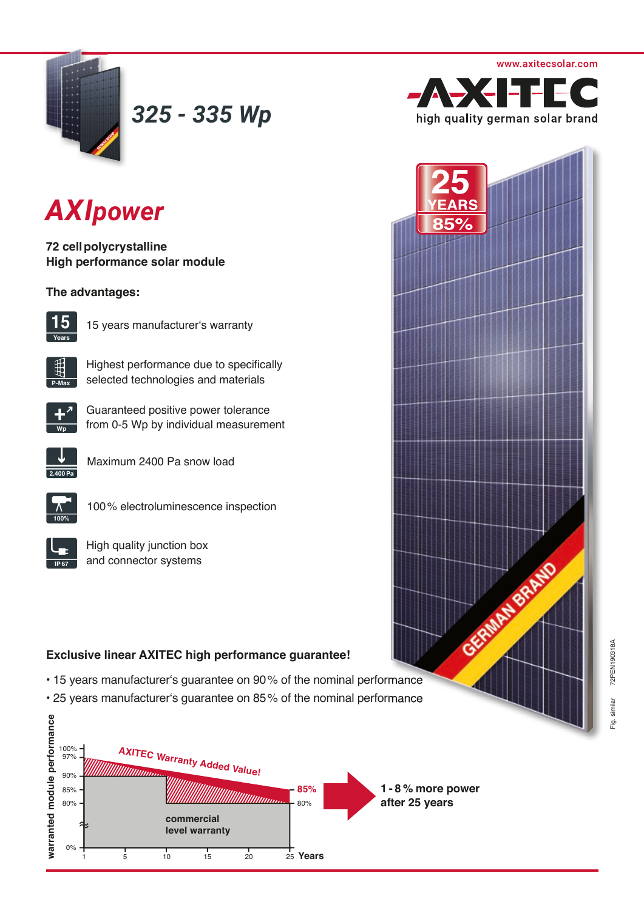



*325 - 335 Wp*

## *AXIpower*

**72 cell polycrystalline High performance solar module**

### **The advantages:**



15 years manufacturer's warranty



Highest performance due to specifically selected technologies and materials



Guaranteed positive power tolerance from 0-5 Wp by individual measurement



Maximum 2400 Pa snow load



100 % electroluminescence inspection

| R7<br>٤ |  |
|---------|--|

High quality junction box and connector systems

## **Exclusive linear AXITEC high performance guarantee!**

- 15 years manufacturer's guarantee on 90% of the nominal performance
- 25 years manufacturer's guarantee on 85% of the nominal performance